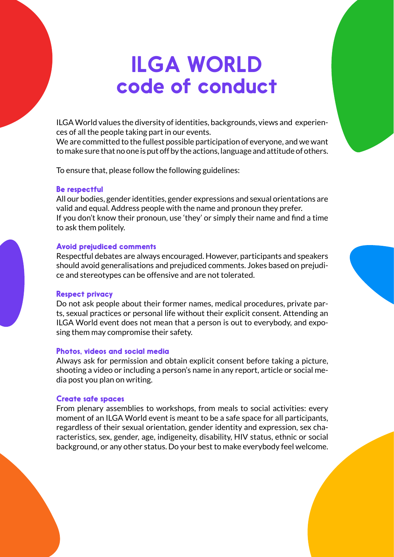# ILGA WORLD code of conduct

ILGA World values the diversity of identities, backgrounds, views and experiences of all the people taking part in our events.

We are committed to the fullest possible participation of everyone, and we want to make sure that no one is put off by the actions, language and attitude of others.

To ensure that, please follow the following guidelines:

# Be respectful

All our bodies, gender identities, gender expressions and sexual orientations are valid and equal. Address people with the name and pronoun they prefer. If you don't know their pronoun, use 'they' or simply their name and find a time to ask them politely.

# Avoid prejudiced comments

Respectful debates are always encouraged. However, participants and speakers should avoid generalisations and prejudiced comments. Jokes based on prejudice and stereotypes can be offensive and are not tolerated.

# Respect privacy

Do not ask people about their former names, medical procedures, private parts, sexual practices or personal life without their explicit consent. Attending an ILGA World event does not mean that a person is out to everybody, and exposing them may compromise their safety.

# Photos, videos and social media

Always ask for permission and obtain explicit consent before taking a picture, shooting a video or including a person's name in any report, article or social media post you plan on writing.

# Create safe spaces

From plenary assemblies to workshops, from meals to social activities: every moment of an ILGA World event is meant to be a safe space for all participants, regardless of their sexual orientation, gender identity and expression, sex characteristics, sex, gender, age, indigeneity, disability, HIV status, ethnic or social background, or any other status. Do your best to make everybody feel welcome.